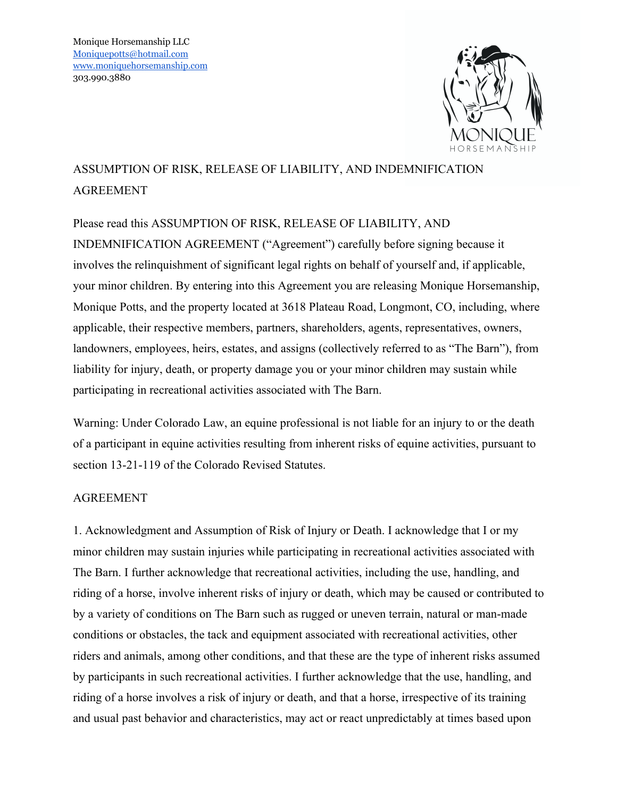

## ASSUMPTION OF RISK, RELEASE OF LIABILITY, AND INDEMNIFICATION AGREEMENT

Please read this ASSUMPTION OF RISK, RELEASE OF LIABILITY, AND INDEMNIFICATION AGREEMENT ("Agreement") carefully before signing because it involves the relinquishment of significant legal rights on behalf of yourself and, if applicable, your minor children. By entering into this Agreement you are releasing Monique Horsemanship, Monique Potts, and the property located at 3618 Plateau Road, Longmont, CO, including, where applicable, their respective members, partners, shareholders, agents, representatives, owners, landowners, employees, heirs, estates, and assigns (collectively referred to as "The Barn"), from liability for injury, death, or property damage you or your minor children may sustain while participating in recreational activities associated with The Barn.

Warning: Under Colorado Law, an equine professional is not liable for an injury to or the death of a participant in equine activities resulting from inherent risks of equine activities, pursuant to section 13-21-119 of the Colorado Revised Statutes.

## AGREEMENT

1. Acknowledgment and Assumption of Risk of Injury or Death. I acknowledge that I or my minor children may sustain injuries while participating in recreational activities associated with The Barn. I further acknowledge that recreational activities, including the use, handling, and riding of a horse, involve inherent risks of injury or death, which may be caused or contributed to by a variety of conditions on The Barn such as rugged or uneven terrain, natural or man-made conditions or obstacles, the tack and equipment associated with recreational activities, other riders and animals, among other conditions, and that these are the type of inherent risks assumed by participants in such recreational activities. I further acknowledge that the use, handling, and riding of a horse involves a risk of injury or death, and that a horse, irrespective of its training and usual past behavior and characteristics, may act or react unpredictably at times based upon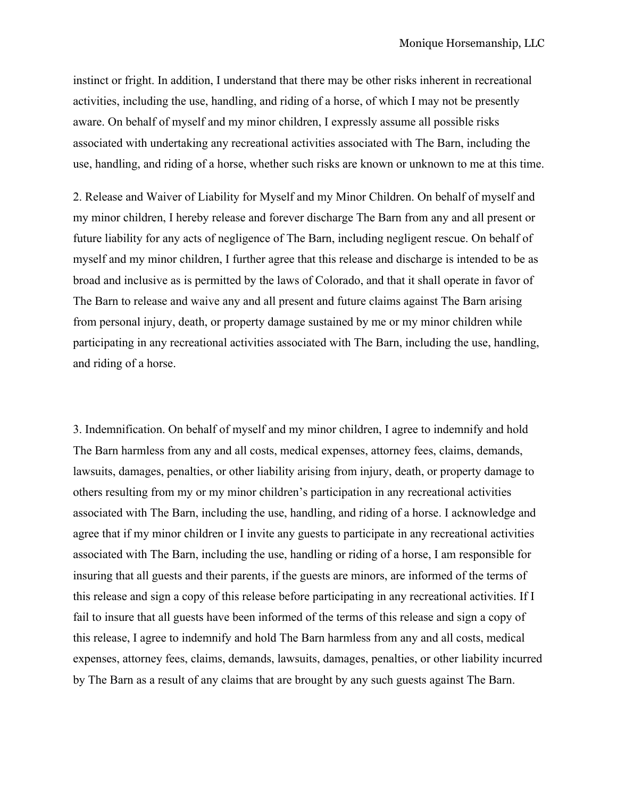instinct or fright. In addition, I understand that there may be other risks inherent in recreational activities, including the use, handling, and riding of a horse, of which I may not be presently aware. On behalf of myself and my minor children, I expressly assume all possible risks associated with undertaking any recreational activities associated with The Barn, including the use, handling, and riding of a horse, whether such risks are known or unknown to me at this time.

2. Release and Waiver of Liability for Myself and my Minor Children. On behalf of myself and my minor children, I hereby release and forever discharge The Barn from any and all present or future liability for any acts of negligence of The Barn, including negligent rescue. On behalf of myself and my minor children, I further agree that this release and discharge is intended to be as broad and inclusive as is permitted by the laws of Colorado, and that it shall operate in favor of The Barn to release and waive any and all present and future claims against The Barn arising from personal injury, death, or property damage sustained by me or my minor children while participating in any recreational activities associated with The Barn, including the use, handling, and riding of a horse.

3. Indemnification. On behalf of myself and my minor children, I agree to indemnify and hold The Barn harmless from any and all costs, medical expenses, attorney fees, claims, demands, lawsuits, damages, penalties, or other liability arising from injury, death, or property damage to others resulting from my or my minor children's participation in any recreational activities associated with The Barn, including the use, handling, and riding of a horse. I acknowledge and agree that if my minor children or I invite any guests to participate in any recreational activities associated with The Barn, including the use, handling or riding of a horse, I am responsible for insuring that all guests and their parents, if the guests are minors, are informed of the terms of this release and sign a copy of this release before participating in any recreational activities. If I fail to insure that all guests have been informed of the terms of this release and sign a copy of this release, I agree to indemnify and hold The Barn harmless from any and all costs, medical expenses, attorney fees, claims, demands, lawsuits, damages, penalties, or other liability incurred by The Barn as a result of any claims that are brought by any such guests against The Barn.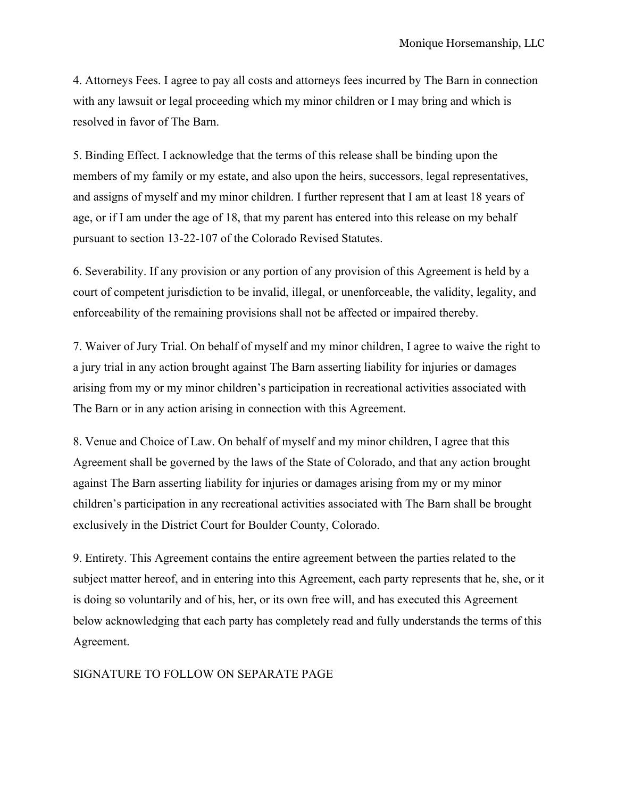4. Attorneys Fees. I agree to pay all costs and attorneys fees incurred by The Barn in connection with any lawsuit or legal proceeding which my minor children or I may bring and which is resolved in favor of The Barn.

5. Binding Effect. I acknowledge that the terms of this release shall be binding upon the members of my family or my estate, and also upon the heirs, successors, legal representatives, and assigns of myself and my minor children. I further represent that I am at least 18 years of age, or if I am under the age of 18, that my parent has entered into this release on my behalf pursuant to section 13-22-107 of the Colorado Revised Statutes.

6. Severability. If any provision or any portion of any provision of this Agreement is held by a court of competent jurisdiction to be invalid, illegal, or unenforceable, the validity, legality, and enforceability of the remaining provisions shall not be affected or impaired thereby.

7. Waiver of Jury Trial. On behalf of myself and my minor children, I agree to waive the right to a jury trial in any action brought against The Barn asserting liability for injuries or damages arising from my or my minor children's participation in recreational activities associated with The Barn or in any action arising in connection with this Agreement.

8. Venue and Choice of Law. On behalf of myself and my minor children, I agree that this Agreement shall be governed by the laws of the State of Colorado, and that any action brought against The Barn asserting liability for injuries or damages arising from my or my minor children's participation in any recreational activities associated with The Barn shall be brought exclusively in the District Court for Boulder County, Colorado.

9. Entirety. This Agreement contains the entire agreement between the parties related to the subject matter hereof, and in entering into this Agreement, each party represents that he, she, or it is doing so voluntarily and of his, her, or its own free will, and has executed this Agreement below acknowledging that each party has completely read and fully understands the terms of this Agreement.

## SIGNATURE TO FOLLOW ON SEPARATE PAGE